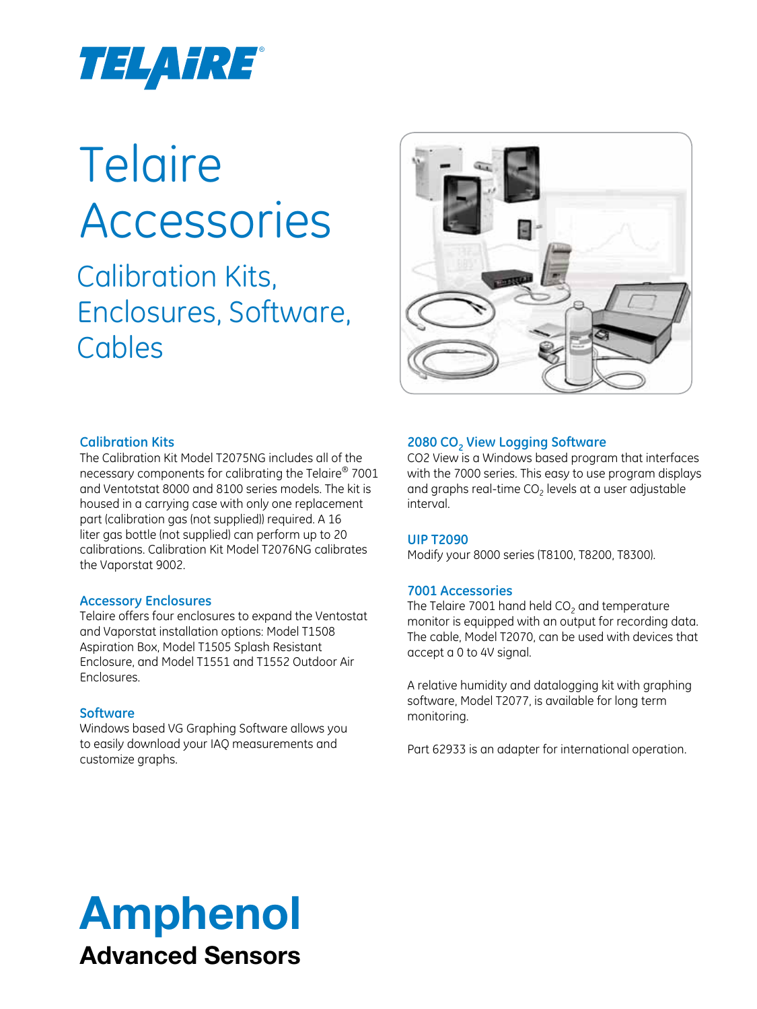

# **Telaire** Accessories

Calibration Kits, Enclosures, Software, Cables



#### **Calibration Kits**

The Calibration Kit Model T2075NG includes all of the necessary components for calibrating the Telaire® 7001 and Ventotstat 8000 and 8100 series models. The kit is housed in a carrying case with only one replacement part (calibration gas (not supplied)) required. A 16 liter gas bottle (not supplied) can perform up to 20 calibrations. Calibration Kit Model T2076NG calibrates the Vaporstat 9002.

#### **Accessory Enclosures**

Telaire offers four enclosures to expand the Ventostat and Vaporstat installation options: Model T1508 Aspiration Box, Model T1505 Splash Resistant Enclosure, and Model T1551 and T1552 Outdoor Air Enclosures.

#### **Software**

Windows based VG Graphing Software allows you to easily download your IAQ measurements and customize graphs.

#### **2080 CO<sub>2</sub> View Logging Software**

CO2 View is a Windows based program that interfaces with the 7000 series. This easy to use program displays and graphs real-time  $CO<sub>2</sub>$  levels at a user adjustable interval.

#### **UIP T2090**

Modify your 8000 series (T8100, T8200, T8300).

#### **7001 Accessories**

The Telaire 7001 hand held  $CO<sub>2</sub>$  and temperature monitor is equipped with an output for recording data. The cable, Model T2070, can be used with devices that accept a 0 to 4V signal.

A relative humidity and datalogging kit with graphing software, Model T2077, is available for long term monitoring.

Part 62933 is an adapter for international operation.

# Amphenol Advanced Sensors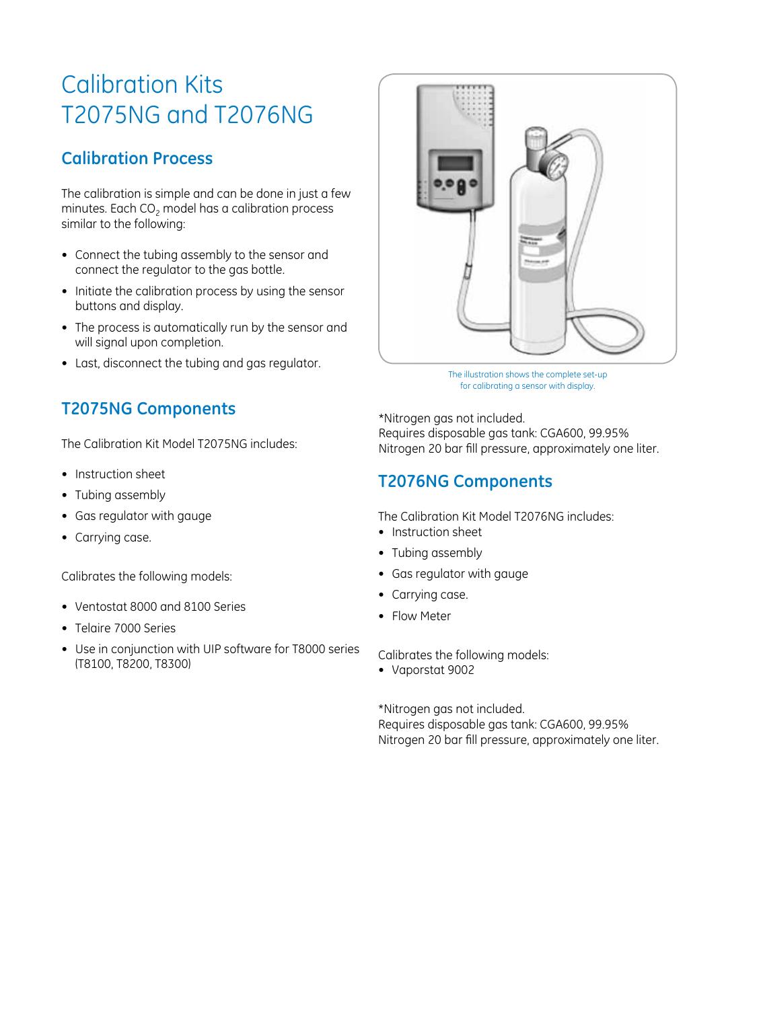# Calibration Kits T2075NG and T2076NG

## **Calibration Process**

The calibration is simple and can be done in just a few minutes. Each  $CO<sub>2</sub>$  model has a calibration process similar to the following:

- Connect the tubing assembly to the sensor and connect the regulator to the gas bottle.
- Initiate the calibration process by using the sensor buttons and display.
- The process is automatically run by the sensor and will signal upon completion.
- Last, disconnect the tubing and gas regulator.

## **T2075NG Components**

The Calibration Kit Model T2075NG includes:

- Instruction sheet
- Tubing assembly
- • Gas regulator with gauge
- Carrying case.

Calibrates the following models:

- • Ventostat 8000 and 8100 Series
- • Telaire 7000 Series
- Use in conjunction with UIP software for T8000 series (T8100, T8200, T8300)



The illustration shows the complete set-up for calibrating a sensor with display.

\*Nitrogen gas not included. Requires disposable gas tank: CGA600, 99.95% Nitrogen 20 bar fill pressure, approximately one liter.

## **T2076NG Components**

The Calibration Kit Model T2076NG includes:

- Instruction sheet
- Tubing assembly
- • Gas regulator with gauge
- Carrying case.
- Flow Meter

Calibrates the following models:

• Vaporstat 9002

\*Nitrogen gas not included. Requires disposable gas tank: CGA600, 99.95% Nitrogen 20 bar fill pressure, approximately one liter.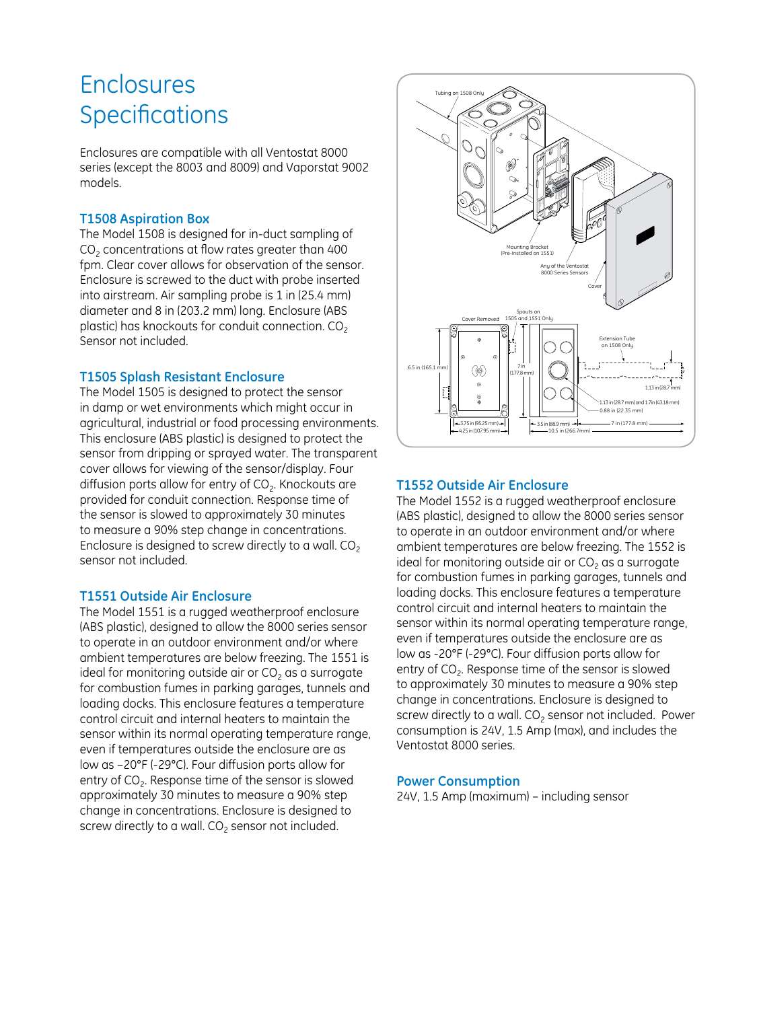## Enclosures **Specifications**

Enclosures are compatible with all Ventostat 8000 series (except the 8003 and 8009) and Vaporstat 9002 models.

#### **T1508 Aspiration Box**

The Model 1508 is designed for in-duct sampling of  $CO<sub>2</sub>$  concentrations at flow rates greater than 400 fpm. Clear cover allows for observation of the sensor. Enclosure is screwed to the duct with probe inserted into airstream. Air sampling probe is 1 in (25.4 mm) diameter and 8 in (203.2 mm) long. Enclosure (ABS plastic) has knockouts for conduit connection.  $CO<sub>2</sub>$ Sensor not included.

#### **T1505 Splash Resistant Enclosure**

The Model 1505 is designed to protect the sensor in damp or wet environments which might occur in agricultural, industrial or food processing environments. This enclosure (ABS plastic) is designed to protect the sensor from dripping or sprayed water. The transparent cover allows for viewing of the sensor/display. Four diffusion ports allow for entry of  $CO<sub>2</sub>$ . Knockouts are provided for conduit connection. Response time of the sensor is slowed to approximately 30 minutes to measure a 90% step change in concentrations. Enclosure is designed to screw directly to a wall.  $CO<sub>2</sub>$ sensor not included.

#### **T1551 Outside Air Enclosure**

The Model 1551 is a rugged weatherproof enclosure (ABS plastic), designed to allow the 8000 series sensor to operate in an outdoor environment and/or where ambient temperatures are below freezing. The 1551 is ideal for monitoring outside air or  $CO<sub>2</sub>$  as a surrogate for combustion fumes in parking garages, tunnels and loading docks. This enclosure features a temperature control circuit and internal heaters to maintain the sensor within its normal operating temperature range, even if temperatures outside the enclosure are as low as –20°F (-29°C). Four diffusion ports allow for entry of  $CO<sub>2</sub>$ . Response time of the sensor is slowed approximately 30 minutes to measure a 90% step change in concentrations. Enclosure is designed to screw directly to a wall.  $CO<sub>2</sub>$  sensor not included.



#### **T1552 Outside Air Enclosure**

The Model 1552 is a rugged weatherproof enclosure (ABS plastic), designed to allow the 8000 series sensor to operate in an outdoor environment and/or where ambient temperatures are below freezing. The 1552 is ideal for monitoring outside air or  $CO<sub>2</sub>$  as a surrogate for combustion fumes in parking garages, tunnels and loading docks. This enclosure features a temperature control circuit and internal heaters to maintain the sensor within its normal operating temperature range, even if temperatures outside the enclosure are as low as -20°F (-29°C). Four diffusion ports allow for entry of  $CO<sub>2</sub>$ . Response time of the sensor is slowed to approximately 30 minutes to measure a 90% step change in concentrations. Enclosure is designed to screw directly to a wall.  $CO<sub>2</sub>$  sensor not included. Power consumption is 24V, 1.5 Amp (max), and includes the Ventostat 8000 series.

#### **Power Consumption**

24V, 1.5 Amp (maximum) – including sensor